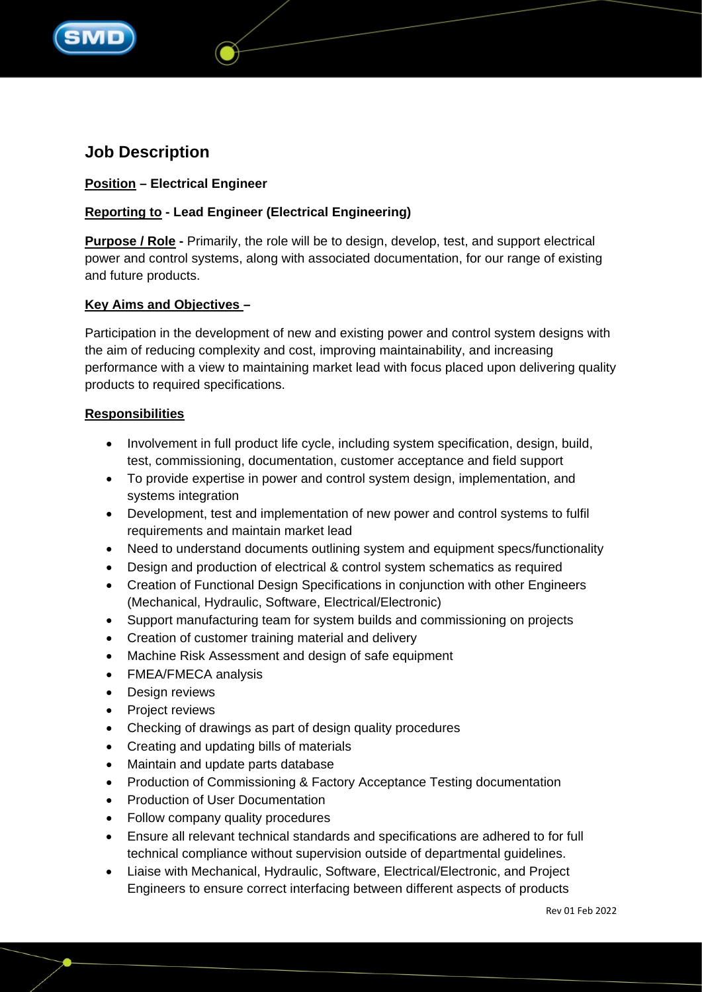

# **Job Description**

# **Position – Electrical Engineer**

# **Reporting to - Lead Engineer (Electrical Engineering)**

**Purpose / Role -** Primarily, the role will be to design, develop, test, and support electrical power and control systems, along with associated documentation, for our range of existing and future products.

## **Key Aims and Objectives –**

Participation in the development of new and existing power and control system designs with the aim of reducing complexity and cost, improving maintainability, and increasing performance with a view to maintaining market lead with focus placed upon delivering quality products to required specifications.

## **Responsibilities**

- Involvement in full product life cycle, including system specification, design, build, test, commissioning, documentation, customer acceptance and field support
- To provide expertise in power and control system design, implementation, and systems integration
- Development, test and implementation of new power and control systems to fulfil requirements and maintain market lead
- Need to understand documents outlining system and equipment specs/functionality
- Design and production of electrical & control system schematics as required
- Creation of Functional Design Specifications in conjunction with other Engineers (Mechanical, Hydraulic, Software, Electrical/Electronic)
- Support manufacturing team for system builds and commissioning on projects
- Creation of customer training material and delivery
- Machine Risk Assessment and design of safe equipment
- FMEA/FMECA analysis
- Design reviews
- Project reviews
- Checking of drawings as part of design quality procedures
- Creating and updating bills of materials
- Maintain and update parts database
- Production of Commissioning & Factory Acceptance Testing documentation
- Production of User Documentation
- Follow company quality procedures
- Ensure all relevant technical standards and specifications are adhered to for full technical compliance without supervision outside of departmental guidelines.
- Liaise with Mechanical, Hydraulic, Software, Electrical/Electronic, and Project Engineers to ensure correct interfacing between different aspects of products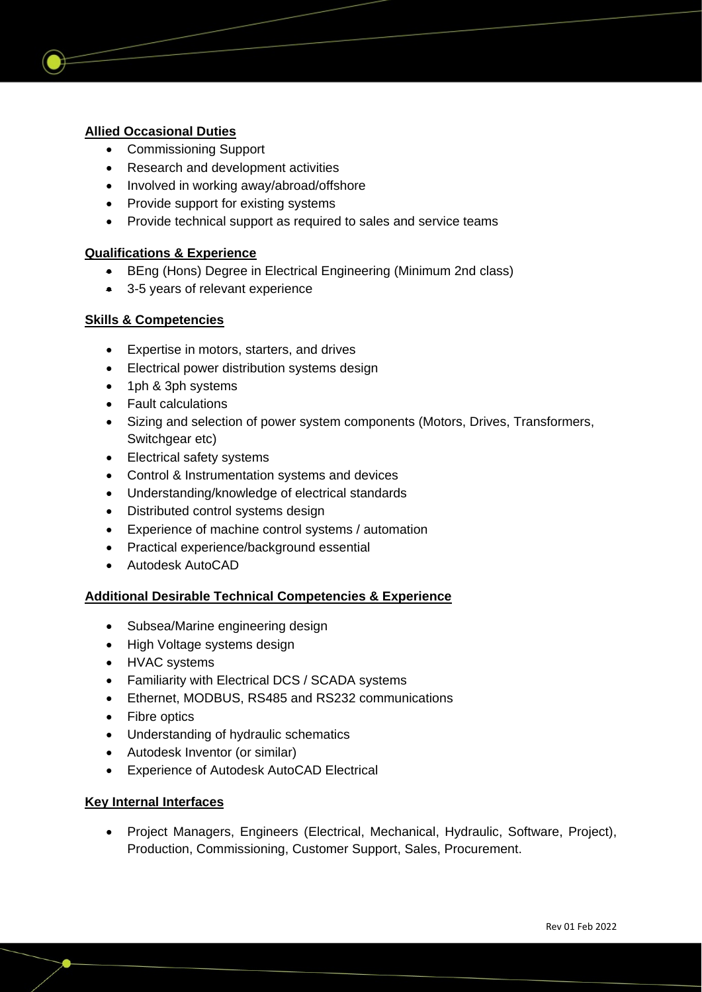## **Allied Occasional Duties**

- Commissioning Support
- Research and development activities
- Involved in working away/abroad/offshore
- Provide support for existing systems
- Provide technical support as required to sales and service teams

## **Qualifications & Experience**

- BEng (Hons) Degree in Electrical Engineering (Minimum 2nd class)
- 3-5 years of relevant experience

## **Skills & Competencies**

- Expertise in motors, starters, and drives
- Electrical power distribution systems design
- 1ph & 3ph systems
- Fault calculations
- Sizing and selection of power system components (Motors, Drives, Transformers, Switchgear etc)
- Electrical safety systems
- Control & Instrumentation systems and devices
- Understanding/knowledge of electrical standards
- Distributed control systems design
- Experience of machine control systems / automation
- Practical experience/background essential
- Autodesk AutoCAD

## **Additional Desirable Technical Competencies & Experience**

- Subsea/Marine engineering design
- High Voltage systems design
- HVAC systems
- Familiarity with Electrical DCS / SCADA systems
- Ethernet, MODBUS, RS485 and RS232 communications
- Fibre optics
- Understanding of hydraulic schematics
- Autodesk Inventor (or similar)
- Experience of Autodesk AutoCAD Electrical

## **Key Internal Interfaces**

• Project Managers, Engineers (Electrical, Mechanical, Hydraulic, Software, Project), Production, Commissioning, Customer Support, Sales, Procurement.